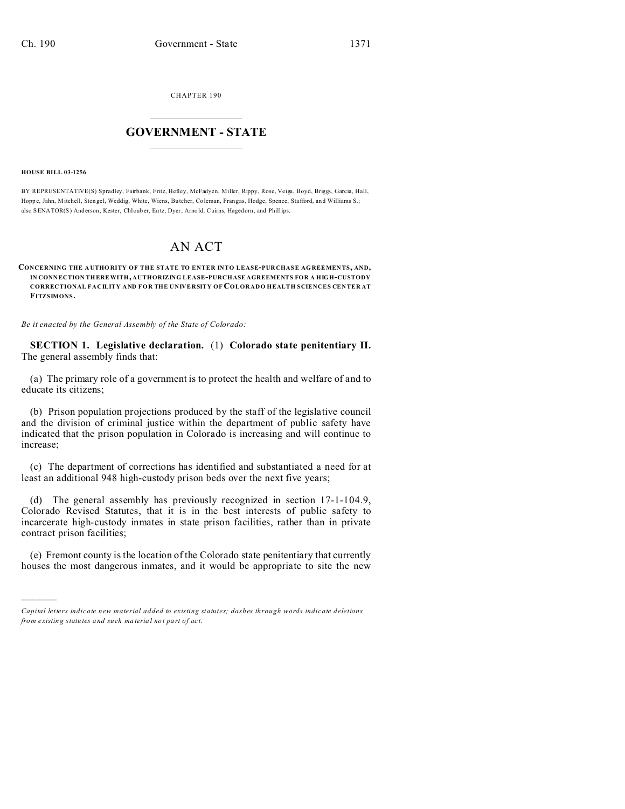CHAPTER 190  $\overline{\phantom{a}}$  , where  $\overline{\phantom{a}}$ 

## **GOVERNMENT - STATE**  $\_$   $\_$

## **HOUSE BILL 03-1256**

)))))

BY REPRESENTATIVE(S) Spradley, Fairbank, Fritz, Hefley, McFadyen, Miller, Rippy, Rose, Veiga, Boyd, Briggs, Garcia, Hall, Hoppe, Jahn, Mitchell, Sten gel, Weddig, White, Wiens, Butcher, Coleman, Frangas, Hodge, Spence, Stafford, and Williams S.; also SENATOR(S) And erson, Kester, Chloub er, En tz, Dyer, Arno ld, Cairns, Hagedorn, and Phillips.

## AN ACT

**CONCERNING THE A UTHORITY OF THE STATE TO ENTER INTO LEASE-PUR CHASE AGREEMEN TS, AND, IN CONN ECTION THEREWITH, AUTHORIZING LEASE-PURCHASE AGREEMENTS FOR A HIGH-CUSTODY CORRECTIONAL FACILITY AND FOR THE UNIVERSITY OF COLORADO HEALTH SCIENCES CENTER AT FITZSIMONS.**

*Be it enacted by the General Assembly of the State of Colorado:*

**SECTION 1. Legislative declaration.** (1) **Colorado state penitentiary II.** The general assembly finds that:

(a) The primary role of a government is to protect the health and welfare of and to educate its citizens;

(b) Prison population projections produced by the staff of the legislative council and the division of criminal justice within the department of public safety have indicated that the prison population in Colorado is increasing and will continue to increase;

(c) The department of corrections has identified and substantiated a need for at least an additional 948 high-custody prison beds over the next five years;

(d) The general assembly has previously recognized in section 17-1-104.9, Colorado Revised Statutes, that it is in the best interests of public safety to incarcerate high-custody inmates in state prison facilities, rather than in private contract prison facilities;

(e) Fremont county is the location of the Colorado state penitentiary that currently houses the most dangerous inmates, and it would be appropriate to site the new

*Capital letters indicate new material added to existing statutes; dashes through words indicate deletions from e xistin g statu tes a nd such ma teria l no t pa rt of ac t.*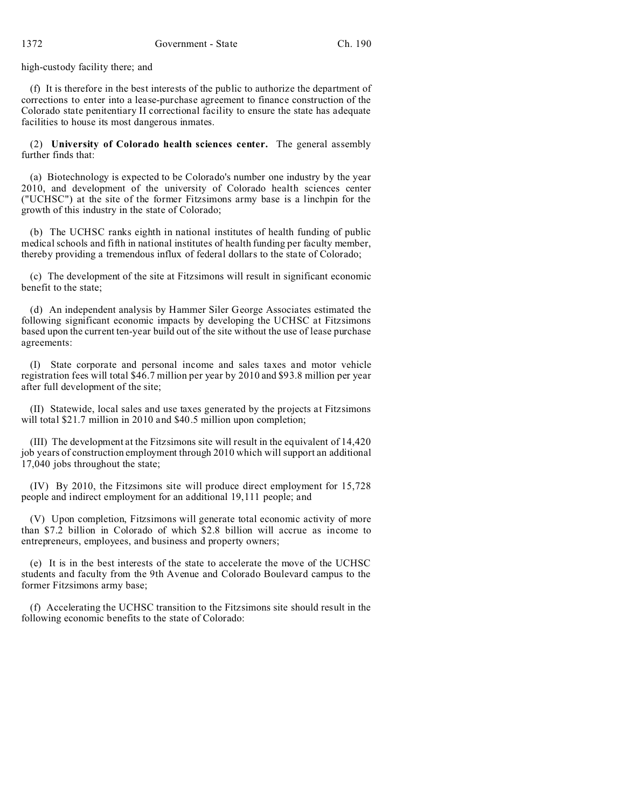high-custody facility there; and

(f) It is therefore in the best interests of the public to authorize the department of corrections to enter into a lease-purchase agreement to finance construction of the Colorado state penitentiary II correctional facility to ensure the state has adequate facilities to house its most dangerous inmates.

(2) **University of Colorado health sciences center.** The general assembly further finds that:

(a) Biotechnology is expected to be Colorado's number one industry by the year 2010, and development of the university of Colorado health sciences center ("UCHSC") at the site of the former Fitzsimons army base is a linchpin for the growth of this industry in the state of Colorado;

(b) The UCHSC ranks eighth in national institutes of health funding of public medical schools and fifth in national institutes of health funding per faculty member, thereby providing a tremendous influx of federal dollars to the state of Colorado;

(c) The development of the site at Fitzsimons will result in significant economic benefit to the state;

(d) An independent analysis by Hammer Siler George Associates estimated the following significant economic impacts by developing the UCHSC at Fitzsimons based upon the current ten-year build out of the site without the use of lease purchase agreements:

(I) State corporate and personal income and sales taxes and motor vehicle registration fees will total \$46.7 million per year by 2010 and \$93.8 million per year after full development of the site;

(II) Statewide, local sales and use taxes generated by the projects at Fitzsimons will total \$21.7 million in 2010 and \$40.5 million upon completion;

(III) The development at the Fitzsimons site will result in the equivalent of 14,420 job years of construction employment through 2010 which will support an additional 17,040 jobs throughout the state;

(IV) By 2010, the Fitzsimons site will produce direct employment for 15,728 people and indirect employment for an additional 19,111 people; and

(V) Upon completion, Fitzsimons will generate total economic activity of more than \$7.2 billion in Colorado of which \$2.8 billion will accrue as income to entrepreneurs, employees, and business and property owners;

(e) It is in the best interests of the state to accelerate the move of the UCHSC students and faculty from the 9th Avenue and Colorado Boulevard campus to the former Fitzsimons army base;

(f) Accelerating the UCHSC transition to the Fitzsimons site should result in the following economic benefits to the state of Colorado: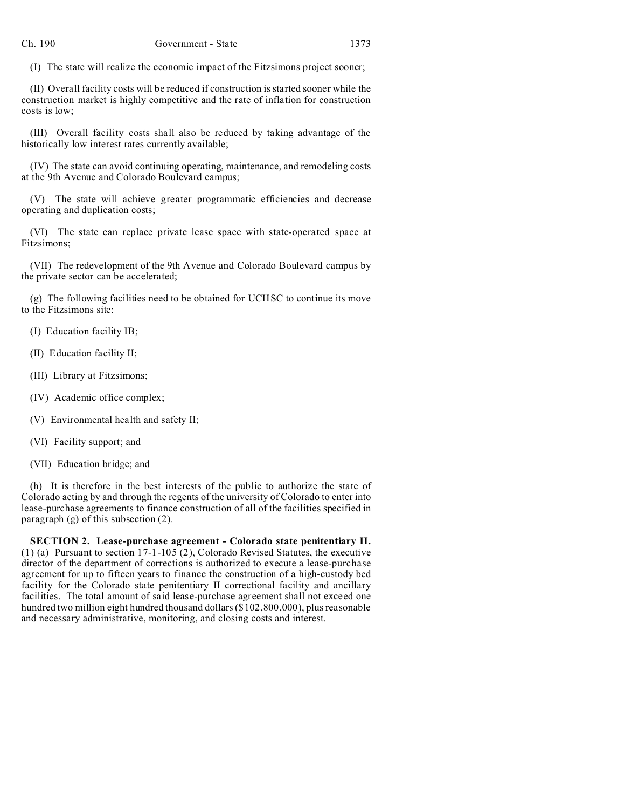(I) The state will realize the economic impact of the Fitzsimons project sooner;

(II) Overall facility costs will be reduced if construction is started sooner while the construction market is highly competitive and the rate of inflation for construction costs is low;

(III) Overall facility costs shall also be reduced by taking advantage of the historically low interest rates currently available;

(IV) The state can avoid continuing operating, maintenance, and remodeling costs at the 9th Avenue and Colorado Boulevard campus;

(V) The state will achieve greater programmatic efficiencies and decrease operating and duplication costs;

(VI) The state can replace private lease space with state-operated space at Fitzsimons;

(VII) The redevelopment of the 9th Avenue and Colorado Boulevard campus by the private sector can be accelerated;

(g) The following facilities need to be obtained for UCHSC to continue its move to the Fitzsimons site:

(I) Education facility IB;

(II) Education facility II;

(III) Library at Fitzsimons;

(IV) Academic office complex;

(V) Environmental health and safety II;

(VI) Facility support; and

(VII) Education bridge; and

(h) It is therefore in the best interests of the public to authorize the state of Colorado acting by and through the regents of the university of Colorado to enter into lease-purchase agreements to finance construction of all of the facilities specified in paragraph (g) of this subsection (2).

**SECTION 2. Lease-purchase agreement - Colorado state penitentiary II.** (1) (a) Pursuant to section 17-1-105 (2), Colorado Revised Statutes, the executive director of the department of corrections is authorized to execute a lease-purchase agreement for up to fifteen years to finance the construction of a high-custody bed facility for the Colorado state penitentiary II correctional facility and ancillary facilities. The total amount of said lease-purchase agreement shall not exceed one hundred two million eight hundred thousand dollars (\$102,800,000), plus reasonable and necessary administrative, monitoring, and closing costs and interest.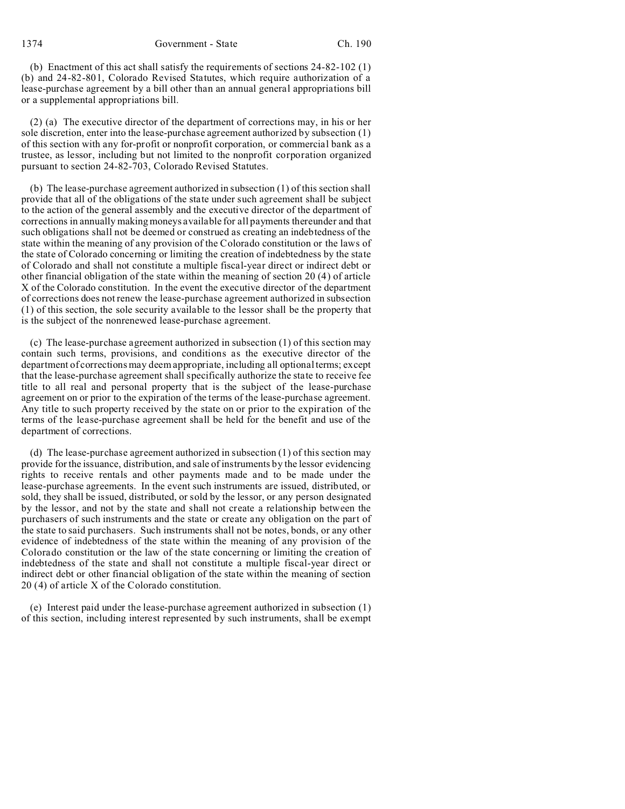1374 Government - State Ch. 190

(b) Enactment of this act shall satisfy the requirements of sections 24-82-102 (1) (b) and 24-82-801, Colorado Revised Statutes, which require authorization of a lease-purchase agreement by a bill other than an annual general appropriations bill or a supplemental appropriations bill.

(2) (a) The executive director of the department of corrections may, in his or her sole discretion, enter into the lease-purchase agreement authorized by subsection (1) of this section with any for-profit or nonprofit corporation, or commercial bank as a trustee, as lessor, including but not limited to the nonprofit corporation organized pursuant to section 24-82-703, Colorado Revised Statutes.

(b) The lease-purchase agreement authorized in subsection (1) of this section shall provide that all of the obligations of the state under such agreement shall be subject to the action of the general assembly and the executive director of the department of corrections in annually making moneys available for all payments thereunder and that such obligations shall not be deemed or construed as creating an indebtedness of the state within the meaning of any provision of the Colorado constitution or the laws of the state of Colorado concerning or limiting the creation of indebtedness by the state of Colorado and shall not constitute a multiple fiscal-year direct or indirect debt or other financial obligation of the state within the meaning of section 20 (4) of article X of the Colorado constitution. In the event the executive director of the department of corrections does not renew the lease-purchase agreement authorized in subsection (1) of this section, the sole security available to the lessor shall be the property that is the subject of the nonrenewed lease-purchase agreement.

(c) The lease-purchase agreement authorized in subsection (1) of this section may contain such terms, provisions, and conditions as the executive director of the department of corrections may deem appropriate, including all optional terms; except that the lease-purchase agreement shall specifically authorize the state to receive fee title to all real and personal property that is the subject of the lease-purchase agreement on or prior to the expiration of the terms of the lease-purchase agreement. Any title to such property received by the state on or prior to the expiration of the terms of the lease-purchase agreement shall be held for the benefit and use of the department of corrections.

(d) The lease-purchase agreement authorized in subsection (1) of this section may provide for the issuance, distribution, and sale of instruments by the lessor evidencing rights to receive rentals and other payments made and to be made under the lease-purchase agreements. In the event such instruments are issued, distributed, or sold, they shall be issued, distributed, or sold by the lessor, or any person designated by the lessor, and not by the state and shall not create a relationship between the purchasers of such instruments and the state or create any obligation on the part of the state to said purchasers. Such instruments shall not be notes, bonds, or any other evidence of indebtedness of the state within the meaning of any provision of the Colorado constitution or the law of the state concerning or limiting the creation of indebtedness of the state and shall not constitute a multiple fiscal-year direct or indirect debt or other financial obligation of the state within the meaning of section 20 (4) of article X of the Colorado constitution.

(e) Interest paid under the lease-purchase agreement authorized in subsection (1) of this section, including interest represented by such instruments, shall be exempt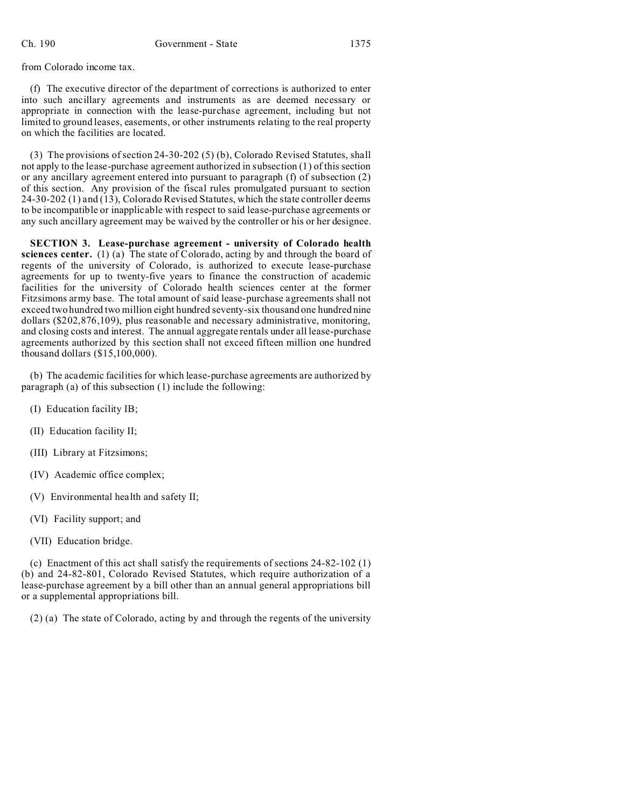from Colorado income tax.

(f) The executive director of the department of corrections is authorized to enter into such ancillary agreements and instruments as are deemed necessary or appropriate in connection with the lease-purchase agreement, including but not limited to ground leases, easements, or other instruments relating to the real property on which the facilities are located.

(3) The provisions of section 24-30-202 (5) (b), Colorado Revised Statutes, shall not apply to the lease-purchase agreement authorized in subsection (1) of this section or any ancillary agreement entered into pursuant to paragraph (f) of subsection (2) of this section. Any provision of the fiscal rules promulgated pursuant to section 24-30-202 (1) and (13), Colorado Revised Statutes, which the state controller deems to be incompatible or inapplicable with respect to said lease-purchase agreements or any such ancillary agreement may be waived by the controller or his or her designee.

**SECTION 3. Lease-purchase agreement - university of Colorado health sciences center.** (1) (a) The state of Colorado, acting by and through the board of regents of the university of Colorado, is authorized to execute lease-purchase agreements for up to twenty-five years to finance the construction of academic facilities for the university of Colorado health sciences center at the former Fitzsimons army base. The total amount of said lease-purchase agreements shall not exceed two hundred two million eight hundred seventy-six thousand one hundred nine dollars (\$202,876,109), plus reasonable and necessary administrative, monitoring, and closing costs and interest. The annual aggregate rentals under all lease-purchase agreements authorized by this section shall not exceed fifteen million one hundred thousand dollars (\$15,100,000).

(b) The academic facilities for which lease-purchase agreements are authorized by paragraph (a) of this subsection (1) include the following:

- (I) Education facility IB;
- (II) Education facility II;
- (III) Library at Fitzsimons;
- (IV) Academic office complex;
- (V) Environmental health and safety II;
- (VI) Facility support; and
- (VII) Education bridge.

(c) Enactment of this act shall satisfy the requirements of sections 24-82-102 (1) (b) and 24-82-801, Colorado Revised Statutes, which require authorization of a lease-purchase agreement by a bill other than an annual general appropriations bill or a supplemental appropriations bill.

(2) (a) The state of Colorado, acting by and through the regents of the university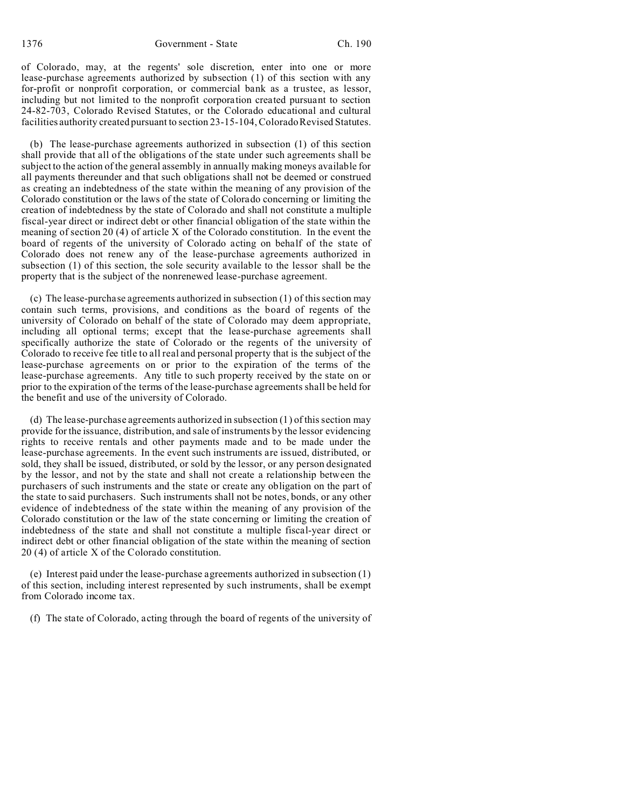of Colorado, may, at the regents' sole discretion, enter into one or more lease-purchase agreements authorized by subsection (1) of this section with any for-profit or nonprofit corporation, or commercial bank as a trustee, as lessor, including but not limited to the nonprofit corporation created pursuant to section 24-82-703, Colorado Revised Statutes, or the Colorado educational and cultural facilities authority created pursuant to section 23-15-104, Colorado Revised Statutes.

(b) The lease-purchase agreements authorized in subsection (1) of this section shall provide that all of the obligations of the state under such agreements shall be subject to the action of the general assembly in annually making moneys available for all payments thereunder and that such obligations shall not be deemed or construed as creating an indebtedness of the state within the meaning of any provision of the Colorado constitution or the laws of the state of Colorado concerning or limiting the creation of indebtedness by the state of Colorado and shall not constitute a multiple fiscal-year direct or indirect debt or other financial obligation of the state within the meaning of section 20 (4) of article X of the Colorado constitution. In the event the board of regents of the university of Colorado acting on behalf of the state of Colorado does not renew any of the lease-purchase agreements authorized in subsection (1) of this section, the sole security available to the lessor shall be the property that is the subject of the nonrenewed lease-purchase agreement.

(c) The lease-purchase agreements authorized in subsection (1) of this section may contain such terms, provisions, and conditions as the board of regents of the university of Colorado on behalf of the state of Colorado may deem appropriate, including all optional terms; except that the lease-purchase agreements shall specifically authorize the state of Colorado or the regents of the university of Colorado to receive fee title to all real and personal property that is the subject of the lease-purchase agreements on or prior to the expiration of the terms of the lease-purchase agreements. Any title to such property received by the state on or prior to the expiration of the terms of the lease-purchase agreements shall be held for the benefit and use of the university of Colorado.

(d) The lease-purchase agreements authorized in subsection (1) of this section may provide for the issuance, distribution, and sale of instruments by the lessor evidencing rights to receive rentals and other payments made and to be made under the lease-purchase agreements. In the event such instruments are issued, distributed, or sold, they shall be issued, distributed, or sold by the lessor, or any person designated by the lessor, and not by the state and shall not create a relationship between the purchasers of such instruments and the state or create any obligation on the part of the state to said purchasers. Such instruments shall not be notes, bonds, or any other evidence of indebtedness of the state within the meaning of any provision of the Colorado constitution or the law of the state concerning or limiting the creation of indebtedness of the state and shall not constitute a multiple fiscal-year direct or indirect debt or other financial obligation of the state within the meaning of section 20 (4) of article X of the Colorado constitution.

(e) Interest paid under the lease-purchase agreements authorized in subsection (1) of this section, including interest represented by such instruments, shall be exempt from Colorado income tax.

(f) The state of Colorado, acting through the board of regents of the university of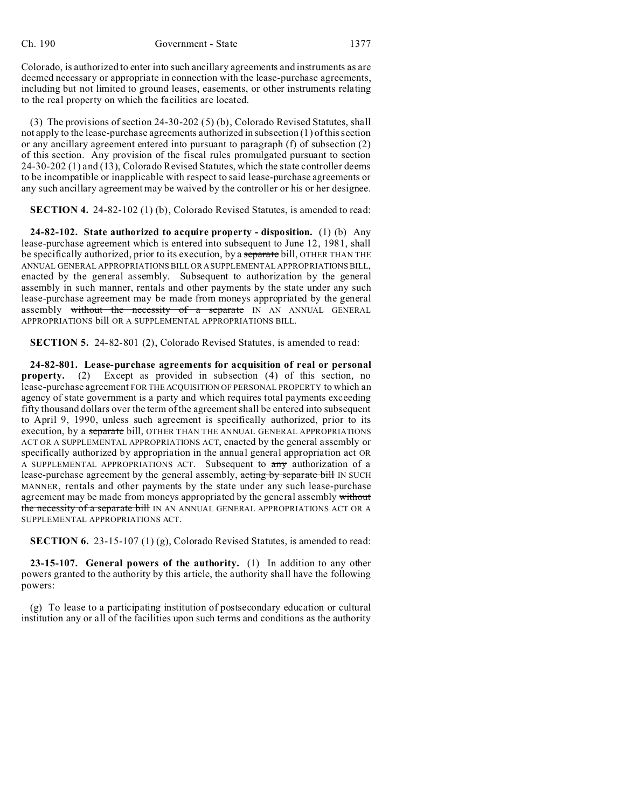Colorado, is authorized to enter into such ancillary agreements and instruments as are deemed necessary or appropriate in connection with the lease-purchase agreements, including but not limited to ground leases, easements, or other instruments relating to the real property on which the facilities are located.

(3) The provisions of section 24-30-202 (5) (b), Colorado Revised Statutes, shall not apply to the lease-purchase agreements authorized in subsection (1) of this section or any ancillary agreement entered into pursuant to paragraph (f) of subsection (2) of this section. Any provision of the fiscal rules promulgated pursuant to section 24-30-202 (1) and (13), Colorado Revised Statutes, which the state controller deems to be incompatible or inapplicable with respect to said lease-purchase agreements or any such ancillary agreement may be waived by the controller or his or her designee.

**SECTION 4.** 24-82-102 (1) (b), Colorado Revised Statutes, is amended to read:

**24-82-102. State authorized to acquire property - disposition.** (1) (b) Any lease-purchase agreement which is entered into subsequent to June 12, 1981, shall be specifically authorized, prior to its execution, by a separate bill, OTHER THAN THE ANNUAL GENERAL APPROPRIATIONS BILL OR A SUPPLEMENTAL APPROPRIATIONS BILL, enacted by the general assembly. Subsequent to authorization by the general assembly in such manner, rentals and other payments by the state under any such lease-purchase agreement may be made from moneys appropriated by the general assembly without the necessity of a separate IN AN ANNUAL GENERAL APPROPRIATIONS bill OR A SUPPLEMENTAL APPROPRIATIONS BILL.

**SECTION 5.** 24-82-801 (2), Colorado Revised Statutes, is amended to read:

**24-82-801. Lease-purchase agreements for acquisition of real or personal property.** (2) Except as provided in subsection (4) of this section, no lease-purchase agreement FOR THE ACQUISITION OF PERSONAL PROPERTY to which an agency of state government is a party and which requires total payments exceeding fifty thousand dollars over the term of the agreement shall be entered into subsequent to April 9, 1990, unless such agreement is specifically authorized, prior to its execution, by a separate bill, OTHER THAN THE ANNUAL GENERAL APPROPRIATIONS ACT OR A SUPPLEMENTAL APPROPRIATIONS ACT, enacted by the general assembly or specifically authorized by appropriation in the annual general appropriation act OR A SUPPLEMENTAL APPROPRIATIONS ACT. Subsequent to any authorization of a lease-purchase agreement by the general assembly, acting by separate bill IN SUCH MANNER, rentals and other payments by the state under any such lease-purchase agreement may be made from moneys appropriated by the general assembly without the necessity of a separate bill IN AN ANNUAL GENERAL APPROPRIATIONS ACT OR A SUPPLEMENTAL APPROPRIATIONS ACT.

**SECTION 6.** 23-15-107 (1) (g), Colorado Revised Statutes, is amended to read:

**23-15-107. General powers of the authority.** (1) In addition to any other powers granted to the authority by this article, the authority shall have the following powers:

(g) To lease to a participating institution of postsecondary education or cultural institution any or all of the facilities upon such terms and conditions as the authority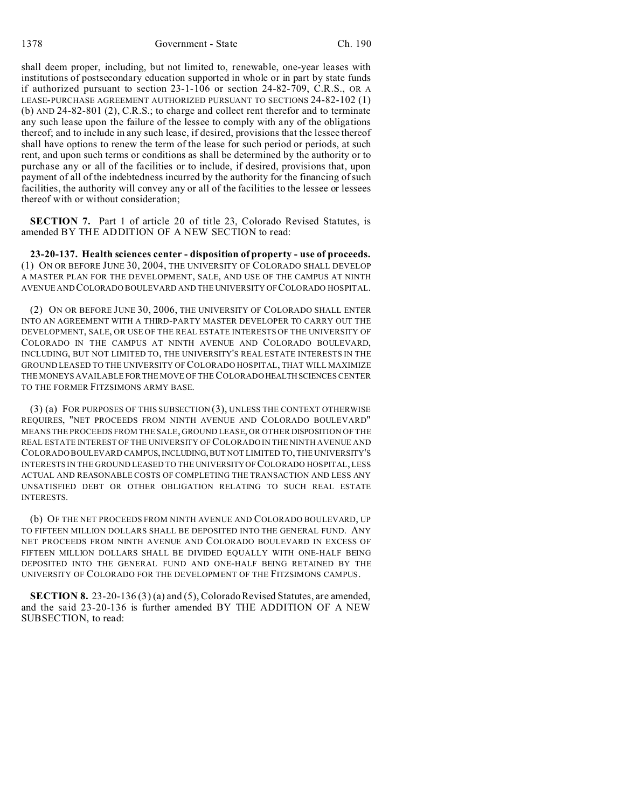shall deem proper, including, but not limited to, renewable, one-year leases with institutions of postsecondary education supported in whole or in part by state funds if authorized pursuant to section 23-1-106 or section 24-82-709, C.R.S., OR A LEASE-PURCHASE AGREEMENT AUTHORIZED PURSUANT TO SECTIONS 24-82-102 (1) (b) AND 24-82-801 (2), C.R.S.; to charge and collect rent therefor and to terminate any such lease upon the failure of the lessee to comply with any of the obligations thereof; and to include in any such lease, if desired, provisions that the lessee thereof shall have options to renew the term of the lease for such period or periods, at such rent, and upon such terms or conditions as shall be determined by the authority or to purchase any or all of the facilities or to include, if desired, provisions that, upon payment of all of the indebtedness incurred by the authority for the financing of such facilities, the authority will convey any or all of the facilities to the lessee or lessees thereof with or without consideration;

**SECTION 7.** Part 1 of article 20 of title 23, Colorado Revised Statutes, is amended BY THE ADDITION OF A NEW SECTION to read:

**23-20-137. Health sciences center - disposition of property - use of proceeds.** (1) ON OR BEFORE JUNE 30, 2004, THE UNIVERSITY OF COLORADO SHALL DEVELOP A MASTER PLAN FOR THE DEVELOPMENT, SALE, AND USE OF THE CAMPUS AT NINTH AVENUE AND COLORADO BOULEVARD AND THE UNIVERSITY OF COLORADO HOSPITAL.

(2) ON OR BEFORE JUNE 30, 2006, THE UNIVERSITY OF COLORADO SHALL ENTER INTO AN AGREEMENT WITH A THIRD-PARTY MASTER DEVELOPER TO CARRY OUT THE DEVELOPMENT, SALE, OR USE OF THE REAL ESTATE INTERESTS OF THE UNIVERSITY OF COLORADO IN THE CAMPUS AT NINTH AVENUE AND COLORADO BOULEVARD, INCLUDING, BUT NOT LIMITED TO, THE UNIVERSITY'S REAL ESTATE INTERESTS IN THE GROUND LEASED TO THE UNIVERSITY OF COLORADO HOSPITAL, THAT WILL MAXIMIZE THE MONEYS AVAILABLE FOR THE MOVE OF THE COLORADO HEALTHSCIENCES CENTER TO THE FORMER FITZSIMONS ARMY BASE.

(3) (a) FOR PURPOSES OF THIS SUBSECTION (3), UNLESS THE CONTEXT OTHERWISE REQUIRES, "NET PROCEEDS FROM NINTH AVENUE AND COLORADO BOULEVARD" MEANS THE PROCEEDS FROM THE SALE, GROUND LEASE, OR OTHER DISPOSITION OF THE REAL ESTATE INTEREST OF THE UNIVERSITY OF COLORADO IN THE NINTH AVENUE AND COLORADO BOULEVARD CAMPUS,INCLUDING,BUT NOT LIMITED TO, THE UNIVERSITY'S INTERESTS IN THE GROUND LEASED TO THE UNIVERSITY OF COLORADO HOSPITAL, LESS ACTUAL AND REASONABLE COSTS OF COMPLETING THE TRANSACTION AND LESS ANY UNSATISFIED DEBT OR OTHER OBLIGATION RELATING TO SUCH REAL ESTATE INTERESTS.

(b) OF THE NET PROCEEDS FROM NINTH AVENUE AND COLORADO BOULEVARD, UP TO FIFTEEN MILLION DOLLARS SHALL BE DEPOSITED INTO THE GENERAL FUND. ANY NET PROCEEDS FROM NINTH AVENUE AND COLORADO BOULEVARD IN EXCESS OF FIFTEEN MILLION DOLLARS SHALL BE DIVIDED EQUALLY WITH ONE-HALF BEING DEPOSITED INTO THE GENERAL FUND AND ONE-HALF BEING RETAINED BY THE UNIVERSITY OF COLORADO FOR THE DEVELOPMENT OF THE FITZSIMONS CAMPUS.

**SECTION 8.** 23-20-136 (3) (a) and (5), Colorado Revised Statutes, are amended, and the said 23-20-136 is further amended BY THE ADDITION OF A NEW SUBSECTION, to read: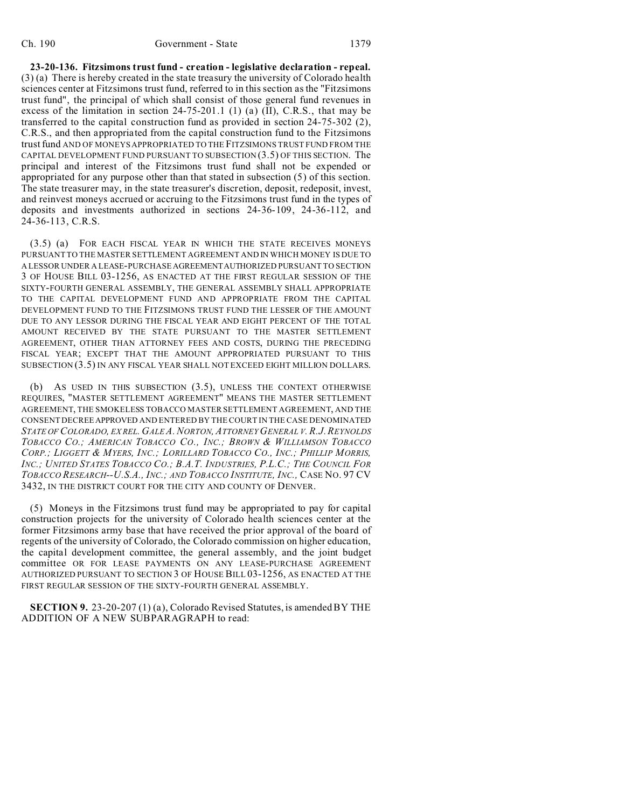**23-20-136. Fitzsimons trust fund - creation - legislative declaration - repeal.** (3) (a) There is hereby created in the state treasury the university of Colorado health sciences center at Fitzsimons trust fund, referred to in this section as the "Fitzsimons trust fund", the principal of which shall consist of those general fund revenues in excess of the limitation in section 24-75-201.1 (1) (a) (II), C.R.S., that may be transferred to the capital construction fund as provided in section 24-75-302 (2), C.R.S., and then appropriated from the capital construction fund to the Fitzsimons trust fund AND OF MONEYS APPROPRIATED TO THE FITZSIMONS TRUST FUND FROM THE CAPITAL DEVELOPMENT FUND PURSUANT TO SUBSECTION (3.5) OF THIS SECTION. The principal and interest of the Fitzsimons trust fund shall not be expended or appropriated for any purpose other than that stated in subsection (5) of this section. The state treasurer may, in the state treasurer's discretion, deposit, redeposit, invest, and reinvest moneys accrued or accruing to the Fitzsimons trust fund in the types of deposits and investments authorized in sections 24-36-109, 24-36-112, and 24-36-113, C.R.S.

(3.5) (a) FOR EACH FISCAL YEAR IN WHICH THE STATE RECEIVES MONEYS PURSUANT TO THE MASTER SETTLEMENT AGREEMENT AND IN WHICH MONEY IS DUE TO A LESSOR UNDER A LEASE-PURCHASE AGREEMENTAUTHORIZED PURSUANT TO SECTION 3 OF HOUSE BILL 03-1256, AS ENACTED AT THE FIRST REGULAR SESSION OF THE SIXTY-FOURTH GENERAL ASSEMBLY, THE GENERAL ASSEMBLY SHALL APPROPRIATE TO THE CAPITAL DEVELOPMENT FUND AND APPROPRIATE FROM THE CAPITAL DEVELOPMENT FUND TO THE FITZSIMONS TRUST FUND THE LESSER OF THE AMOUNT DUE TO ANY LESSOR DURING THE FISCAL YEAR AND EIGHT PERCENT OF THE TOTAL AMOUNT RECEIVED BY THE STATE PURSUANT TO THE MASTER SETTLEMENT AGREEMENT, OTHER THAN ATTORNEY FEES AND COSTS, DURING THE PRECEDING FISCAL YEAR; EXCEPT THAT THE AMOUNT APPROPRIATED PURSUANT TO THIS SUBSECTION (3.5) IN ANY FISCAL YEAR SHALL NOT EXCEED EIGHT MILLION DOLLARS.

(b) AS USED IN THIS SUBSECTION (3.5), UNLESS THE CONTEXT OTHERWISE REQUIRES, "MASTER SETTLEMENT AGREEMENT" MEANS THE MASTER SETTLEMENT AGREEMENT, THE SMOKELESS TOBACCO MASTER SETTLEMENT AGREEMENT, AND THE CONSENT DECREEAPPROVED AND ENTERED BY THE COURT IN THE CASE DENOMINATED *STATE OF COLORADO, EX REL. GALE A.NORTON, ATTORNEY GENERAL V. R.J.REYNOLDS TOBACCO CO.; AMERICAN TOBACCO CO., INC.; BROWN & WILLIAMSON TOBACCO* CORP.; LIGGETT & MYERS, INC.; LORILLARD TOBACCO CO., INC.; PHILLIP MORRIS, INC.; UNITED STATES TOBACCO CO.; B.A.T. INDUSTRIES, P.L.C.; THE COUNCIL FOR *TOBACCO RESEARCH--U.S.A., INC.; AND TOBACCO INSTITUTE, INC.,* CASE NO. 97 CV 3432, IN THE DISTRICT COURT FOR THE CITY AND COUNTY OF DENVER.

(5) Moneys in the Fitzsimons trust fund may be appropriated to pay for capital construction projects for the university of Colorado health sciences center at the former Fitzsimons army base that have received the prior approval of the board of regents of the university of Colorado, the Colorado commission on higher education, the capital development committee, the general assembly, and the joint budget committee OR FOR LEASE PAYMENTS ON ANY LEASE-PURCHASE AGREEMENT AUTHORIZED PURSUANT TO SECTION 3 OF HOUSE BILL 03-1256, AS ENACTED AT THE FIRST REGULAR SESSION OF THE SIXTY-FOURTH GENERAL ASSEMBLY.

**SECTION 9.** 23-20-207 (1) (a), Colorado Revised Statutes, is amended BY THE ADDITION OF A NEW SUBPARAGRAPH to read: